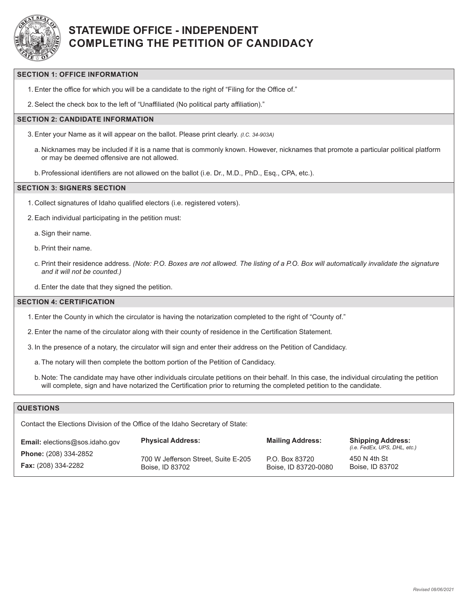

# **STATEWIDE OFFICE - INDEPENDENT COMPLETING THE PETITION OF CANDIDACY**

## **SECTION 1: OFFICE INFORMATION**

1.Enter the office for which you will be a candidate to the right of "Filing for the Office of."

2.Select the check box to the left of "Unaffiliated (No political party affiliation)."

## **SECTION 2: CANDIDATE INFORMATION**

- 3.Enter your Name as it will appear on the ballot. Please print clearly. *(I.C. 34-903A)*
	- a. Nicknames may be included if it is a name that is commonly known. However, nicknames that promote a particular political platform or may be deemed offensive are not allowed.
	- b.Professional identifiers are not allowed on the ballot (i.e. Dr., M.D., PhD., Esq., CPA, etc.).

#### **SECTION 3: SIGNERS SECTION**

- 1. Collect signatures of Idaho qualified electors (i.e. registered voters).
- 2.Each individual participating in the petition must:
	- a.Sign their name.
	- b.Print their name.
	- c. Print their residence address. *(Note: P.O. Boxes are not allowed. The listing of a P.O. Box will automatically invalidate the signature and it will not be counted.)*
	- d.Enter the date that they signed the petition.

#### **SECTION 4: CERTIFICATION**

- 1.Enter the County in which the circulator is having the notarization completed to the right of "County of."
- 2.Enter the name of the circulator along with their county of residence in the Certification Statement.
- 3. In the presence of a notary, the circulator will sign and enter their address on the Petition of Candidacy.
	- a. The notary will then complete the bottom portion of the Petition of Candidacy.
	- b. Note: The candidate may have other individuals circulate petitions on their behalf. In this case, the individual circulating the petition will complete, sign and have notarized the Certification prior to returning the completed petition to the candidate.

## **QUESTIONS**

Contact the Elections Division of the Office of the Idaho Secretary of State:

| <b>Email:</b> elections@sos.idaho.gov | <b>Physical Address:</b>            | <b>Mailing Address:</b> | <b>Shipping Address:</b><br>(i.e. FedEx, UPS, DHL, etc.) |
|---------------------------------------|-------------------------------------|-------------------------|----------------------------------------------------------|
| <b>Phone:</b> (208) 334-2852          | 700 W Jefferson Street, Suite E-205 | P.O. Box 83720          | 450 N 4th St                                             |
| <b>Fax:</b> (208) 334-2282            | Boise, ID 83702                     | Boise, ID 83720-0080    | Boise, ID 83702                                          |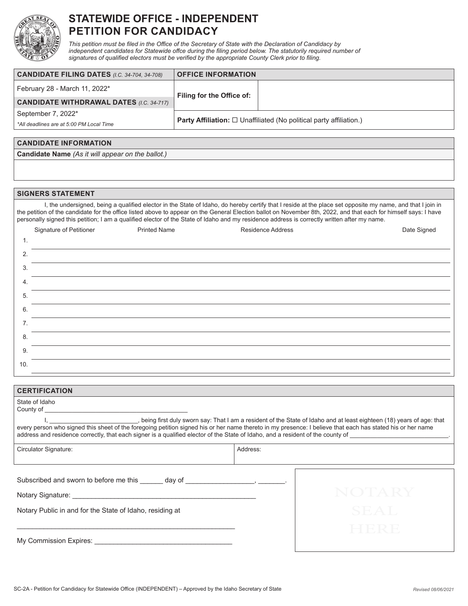

# **STATEWIDE OFFICE - INDEPENDENT PETITION FOR CANDIDACY**

*This petition must be filed in the Office of the Secretary of State with the Declaration of Candidacy by independent candidates for Statewide offce during the filing period below. The statutorily required number of signatures of qualified electors must be verified by the appropriate County Clerk prior to filing.*

| <b>CANDIDATE FILING DATES (I.C. 34-704, 34-708)</b> | <b>OFFICE INFORMATION</b>                                                          |  |  |
|-----------------------------------------------------|------------------------------------------------------------------------------------|--|--|
| February 28 - March 11, 2022*                       | Filing for the Office of:                                                          |  |  |
| <b>CANDIDATE WITHDRAWAL DATES (I.C. 34-717)</b>     |                                                                                    |  |  |
| September 7, 2022*                                  | <b>Party Affiliation:</b> $\square$ Unaffiliated (No political party affiliation.) |  |  |
| *All deadlines are at 5:00 PM Local Time            |                                                                                    |  |  |

### **CANDIDATE INFORMATION**

**Candidate Name** *(As it will appear on the ballot.)*

#### **SIGNERS STATEMENT**

I, the undersigned, being a qualified elector in the State of Idaho, do hereby certify that I reside at the place set opposite my name, and that I join in the petition of the candidate for the office listed above to appear on the General Election ballot on November 8th, 2022, and that each for himself says: I have personally signed this petition; I am a qualified elector of the State of Idaho and my residence address is correctly written after my name.

|     | Signature of Petitioner | <b>Printed Name</b> | Residence Address | Date Signed |
|-----|-------------------------|---------------------|-------------------|-------------|
| 1.  |                         |                     |                   |             |
| 2.  |                         |                     |                   |             |
| 3.  |                         |                     |                   |             |
| 4.  |                         |                     |                   |             |
| 5.  |                         |                     |                   |             |
| 6.  |                         |                     |                   |             |
| 7.  |                         |                     |                   |             |
| 8.  |                         |                     |                   |             |
| 9.  |                         |                     |                   |             |
| 10. |                         |                     |                   |             |

| <b>CERTIFICATION</b>                                                                                                                                                                                                                                                                                                                                              |          |  |  |
|-------------------------------------------------------------------------------------------------------------------------------------------------------------------------------------------------------------------------------------------------------------------------------------------------------------------------------------------------------------------|----------|--|--|
| State of Idaho                                                                                                                                                                                                                                                                                                                                                    |          |  |  |
| l, _______________________, being first duly sworn say: That I am a resident of the State of Idaho and at least eighteen (18) years of age: that every person who signed this sheet of the foregoing petition signed his or he<br>address and residence correctly, that each signer is a qualified elector of the State of Idaho, and a resident of the county of |          |  |  |
| Circulator Signature:                                                                                                                                                                                                                                                                                                                                             | Address: |  |  |
|                                                                                                                                                                                                                                                                                                                                                                   |          |  |  |
| Subscribed and sworn to before me this day of the state of the state of the state of the state of the state of the state of the state of the state of the state of the state of the state of the state of the state of the sta                                                                                                                                    |          |  |  |
|                                                                                                                                                                                                                                                                                                                                                                   |          |  |  |
| Notary Public in and for the State of Idaho, residing at                                                                                                                                                                                                                                                                                                          | SEAL     |  |  |
|                                                                                                                                                                                                                                                                                                                                                                   | -ARR B   |  |  |
| My Commission Expires: Note that the control of the control of the control of the control of the control of the control of the control of the control of the control of the control of the control of the control of the contr                                                                                                                                    |          |  |  |